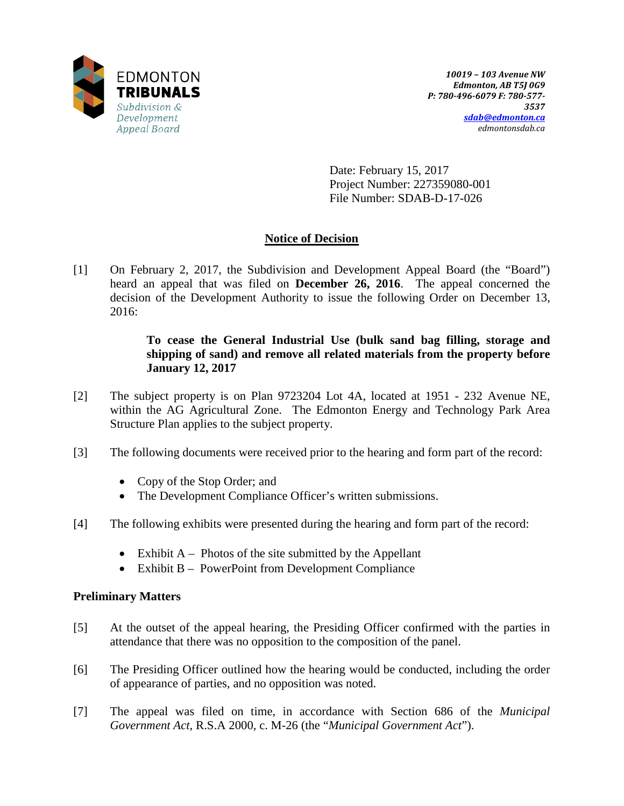

Date: February 15, 2017 Project Number: 227359080-001 File Number: SDAB-D-17-026

# **Notice of Decision**

[1] On February 2, 2017, the Subdivision and Development Appeal Board (the "Board") heard an appeal that was filed on **December 26, 2016**. The appeal concerned the decision of the Development Authority to issue the following Order on December 13, 2016:

# **To cease the General Industrial Use (bulk sand bag filling, storage and shipping of sand) and remove all related materials from the property before January 12, 2017**

- [2] The subject property is on Plan 9723204 Lot 4A, located at 1951 232 Avenue NE, within the AG Agricultural Zone. The Edmonton Energy and Technology Park Area Structure Plan applies to the subject property.
- [3] The following documents were received prior to the hearing and form part of the record:
	- Copy of the Stop Order; and
	- The Development Compliance Officer's written submissions.
- [4] The following exhibits were presented during the hearing and form part of the record:
	- Exhibit  $A -$ Photos of the site submitted by the Appellant
	- Exhibit B PowerPoint from Development Compliance

## **Preliminary Matters**

- [5] At the outset of the appeal hearing, the Presiding Officer confirmed with the parties in attendance that there was no opposition to the composition of the panel.
- [6] The Presiding Officer outlined how the hearing would be conducted, including the order of appearance of parties, and no opposition was noted.
- [7] The appeal was filed on time, in accordance with Section 686 of the *Municipal Government Act*, R.S.A 2000, c. M-26 (the "*Municipal Government Act*").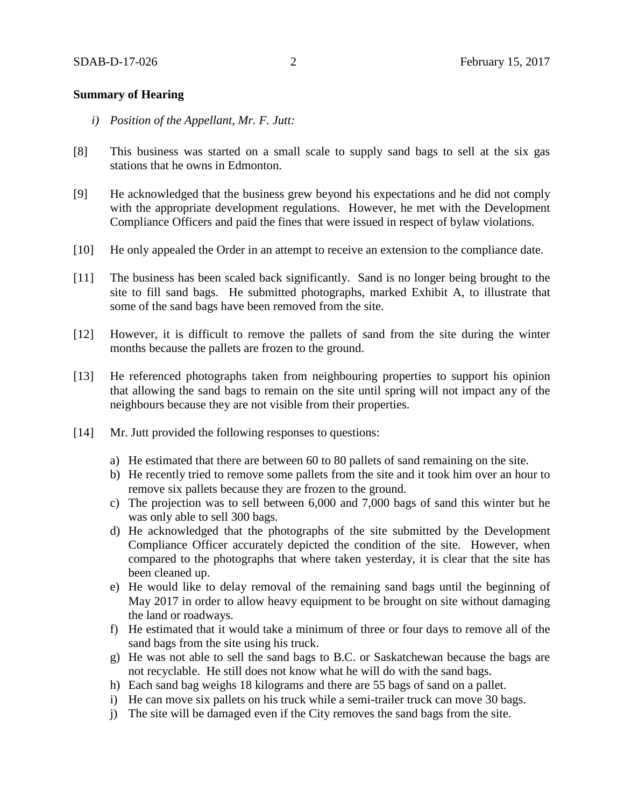### **Summary of Hearing**

- *i) Position of the Appellant, Mr. F. Jutt:*
- [8] This business was started on a small scale to supply sand bags to sell at the six gas stations that he owns in Edmonton.
- [9] He acknowledged that the business grew beyond his expectations and he did not comply with the appropriate development regulations. However, he met with the Development Compliance Officers and paid the fines that were issued in respect of bylaw violations.
- [10] He only appealed the Order in an attempt to receive an extension to the compliance date.
- [11] The business has been scaled back significantly. Sand is no longer being brought to the site to fill sand bags. He submitted photographs, marked Exhibit A, to illustrate that some of the sand bags have been removed from the site.
- [12] However, it is difficult to remove the pallets of sand from the site during the winter months because the pallets are frozen to the ground.
- [13] He referenced photographs taken from neighbouring properties to support his opinion that allowing the sand bags to remain on the site until spring will not impact any of the neighbours because they are not visible from their properties.
- [14] Mr. Jutt provided the following responses to questions:
	- a) He estimated that there are between 60 to 80 pallets of sand remaining on the site.
	- b) He recently tried to remove some pallets from the site and it took him over an hour to remove six pallets because they are frozen to the ground.
	- c) The projection was to sell between 6,000 and 7,000 bags of sand this winter but he was only able to sell 300 bags.
	- d) He acknowledged that the photographs of the site submitted by the Development Compliance Officer accurately depicted the condition of the site. However, when compared to the photographs that where taken yesterday, it is clear that the site has been cleaned up.
	- e) He would like to delay removal of the remaining sand bags until the beginning of May 2017 in order to allow heavy equipment to be brought on site without damaging the land or roadways.
	- f) He estimated that it would take a minimum of three or four days to remove all of the sand bags from the site using his truck.
	- g) He was not able to sell the sand bags to B.C. or Saskatchewan because the bags are not recyclable. He still does not know what he will do with the sand bags.
	- h) Each sand bag weighs 18 kilograms and there are 55 bags of sand on a pallet.
	- i) He can move six pallets on his truck while a semi-trailer truck can move 30 bags.
	- j) The site will be damaged even if the City removes the sand bags from the site.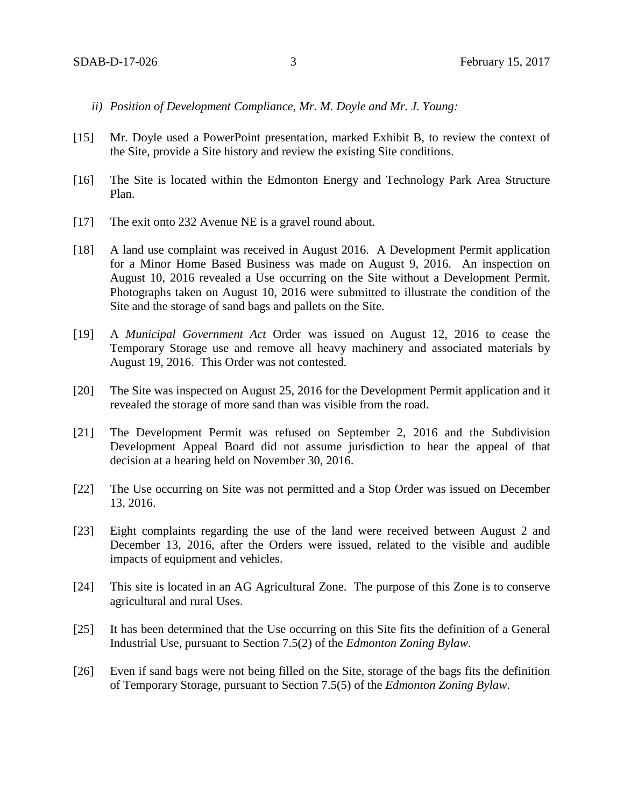- *ii) Position of Development Compliance, Mr. M. Doyle and Mr. J. Young:*
- [15] Mr. Doyle used a PowerPoint presentation, marked Exhibit B, to review the context of the Site, provide a Site history and review the existing Site conditions.
- [16] The Site is located within the Edmonton Energy and Technology Park Area Structure Plan.
- [17] The exit onto 232 Avenue NE is a gravel round about.
- [18] A land use complaint was received in August 2016. A Development Permit application for a Minor Home Based Business was made on August 9, 2016. An inspection on August 10, 2016 revealed a Use occurring on the Site without a Development Permit. Photographs taken on August 10, 2016 were submitted to illustrate the condition of the Site and the storage of sand bags and pallets on the Site.
- [19] A *Municipal Government Act* Order was issued on August 12, 2016 to cease the Temporary Storage use and remove all heavy machinery and associated materials by August 19, 2016. This Order was not contested.
- [20] The Site was inspected on August 25, 2016 for the Development Permit application and it revealed the storage of more sand than was visible from the road.
- [21] The Development Permit was refused on September 2, 2016 and the Subdivision Development Appeal Board did not assume jurisdiction to hear the appeal of that decision at a hearing held on November 30, 2016.
- [22] The Use occurring on Site was not permitted and a Stop Order was issued on December 13, 2016.
- [23] Eight complaints regarding the use of the land were received between August 2 and December 13, 2016, after the Orders were issued, related to the visible and audible impacts of equipment and vehicles.
- [24] This site is located in an AG Agricultural Zone. The purpose of this Zone is to conserve agricultural and rural Uses.
- [25] It has been determined that the Use occurring on this Site fits the definition of a General Industrial Use, pursuant to Section 7.5(2) of the *Edmonton Zoning Bylaw*.
- [26] Even if sand bags were not being filled on the Site, storage of the bags fits the definition of Temporary Storage, pursuant to Section 7.5(5) of the *Edmonton Zoning Bylaw*.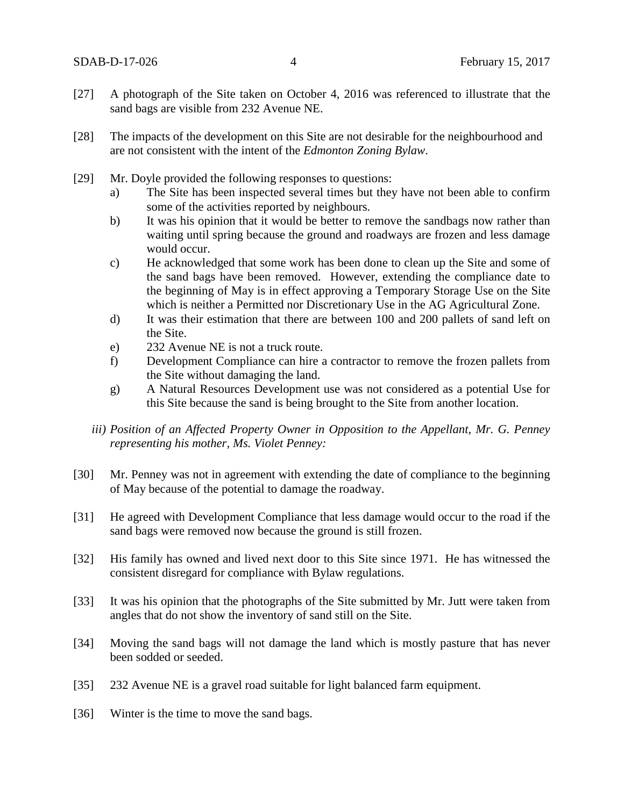- [27] A photograph of the Site taken on October 4, 2016 was referenced to illustrate that the sand bags are visible from 232 Avenue NE.
- [28] The impacts of the development on this Site are not desirable for the neighbourhood and are not consistent with the intent of the *Edmonton Zoning Bylaw*.
- [29] Mr. Doyle provided the following responses to questions:
	- a) The Site has been inspected several times but they have not been able to confirm some of the activities reported by neighbours.
	- b) It was his opinion that it would be better to remove the sandbags now rather than waiting until spring because the ground and roadways are frozen and less damage would occur.
	- c) He acknowledged that some work has been done to clean up the Site and some of the sand bags have been removed. However, extending the compliance date to the beginning of May is in effect approving a Temporary Storage Use on the Site which is neither a Permitted nor Discretionary Use in the AG Agricultural Zone.
	- d) It was their estimation that there are between 100 and 200 pallets of sand left on the Site.
	- e) 232 Avenue NE is not a truck route.
	- f) Development Compliance can hire a contractor to remove the frozen pallets from the Site without damaging the land.
	- g) A Natural Resources Development use was not considered as a potential Use for this Site because the sand is being brought to the Site from another location.
	- *iii) Position of an Affected Property Owner in Opposition to the Appellant, Mr. G. Penney representing his mother, Ms. Violet Penney:*
- [30] Mr. Penney was not in agreement with extending the date of compliance to the beginning of May because of the potential to damage the roadway.
- [31] He agreed with Development Compliance that less damage would occur to the road if the sand bags were removed now because the ground is still frozen.
- [32] His family has owned and lived next door to this Site since 1971. He has witnessed the consistent disregard for compliance with Bylaw regulations.
- [33] It was his opinion that the photographs of the Site submitted by Mr. Jutt were taken from angles that do not show the inventory of sand still on the Site.
- [34] Moving the sand bags will not damage the land which is mostly pasture that has never been sodded or seeded.
- [35] 232 Avenue NE is a gravel road suitable for light balanced farm equipment.
- [36] Winter is the time to move the sand bags.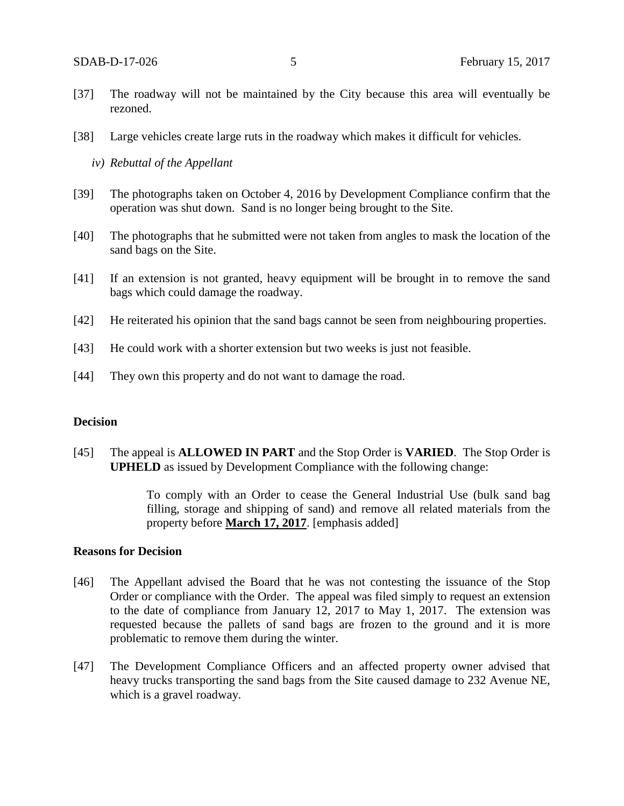- [37] The roadway will not be maintained by the City because this area will eventually be rezoned.
- [38] Large vehicles create large ruts in the roadway which makes it difficult for vehicles.
	- *iv) Rebuttal of the Appellant*
- [39] The photographs taken on October 4, 2016 by Development Compliance confirm that the operation was shut down. Sand is no longer being brought to the Site.
- [40] The photographs that he submitted were not taken from angles to mask the location of the sand bags on the Site.
- [41] If an extension is not granted, heavy equipment will be brought in to remove the sand bags which could damage the roadway.
- [42] He reiterated his opinion that the sand bags cannot be seen from neighbouring properties.
- [43] He could work with a shorter extension but two weeks is just not feasible.
- [44] They own this property and do not want to damage the road.

### **Decision**

[45] The appeal is **ALLOWED IN PART** and the Stop Order is **VARIED**. The Stop Order is **UPHELD** as issued by Development Compliance with the following change:

> To comply with an Order to cease the General Industrial Use (bulk sand bag filling, storage and shipping of sand) and remove all related materials from the property before **March 17, 2017**. [emphasis added]

#### **Reasons for Decision**

- [46] The Appellant advised the Board that he was not contesting the issuance of the Stop Order or compliance with the Order. The appeal was filed simply to request an extension to the date of compliance from January 12, 2017 to May 1, 2017. The extension was requested because the pallets of sand bags are frozen to the ground and it is more problematic to remove them during the winter.
- [47] The Development Compliance Officers and an affected property owner advised that heavy trucks transporting the sand bags from the Site caused damage to 232 Avenue NE, which is a gravel roadway.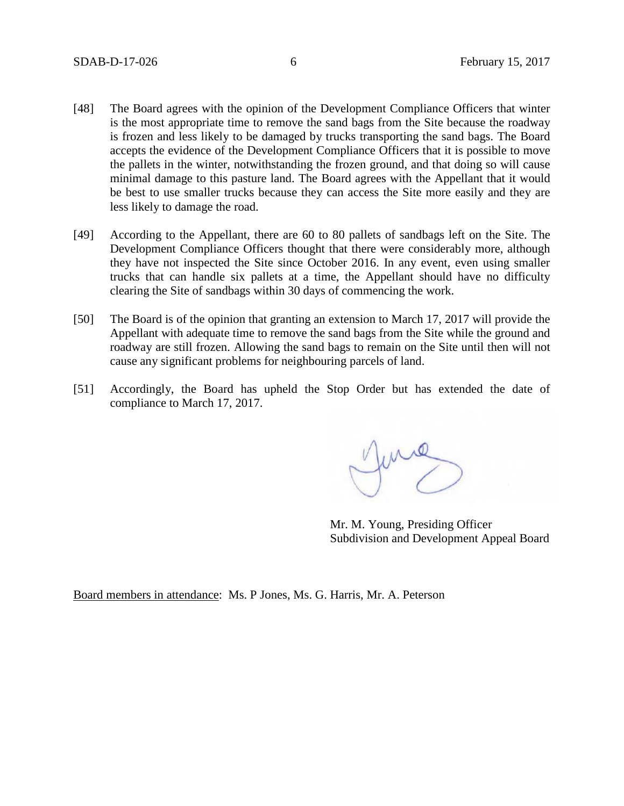- [48] The Board agrees with the opinion of the Development Compliance Officers that winter is the most appropriate time to remove the sand bags from the Site because the roadway is frozen and less likely to be damaged by trucks transporting the sand bags. The Board accepts the evidence of the Development Compliance Officers that it is possible to move the pallets in the winter, notwithstanding the frozen ground, and that doing so will cause minimal damage to this pasture land. The Board agrees with the Appellant that it would be best to use smaller trucks because they can access the Site more easily and they are less likely to damage the road.
- [49] According to the Appellant, there are 60 to 80 pallets of sandbags left on the Site. The Development Compliance Officers thought that there were considerably more, although they have not inspected the Site since October 2016. In any event, even using smaller trucks that can handle six pallets at a time, the Appellant should have no difficulty clearing the Site of sandbags within 30 days of commencing the work.
- [50] The Board is of the opinion that granting an extension to March 17, 2017 will provide the Appellant with adequate time to remove the sand bags from the Site while the ground and roadway are still frozen. Allowing the sand bags to remain on the Site until then will not cause any significant problems for neighbouring parcels of land.
- [51] Accordingly, the Board has upheld the Stop Order but has extended the date of compliance to March 17, 2017.

June

Mr. M. Young, Presiding Officer Subdivision and Development Appeal Board

Board members in attendance: Ms. P Jones, Ms. G. Harris, Mr. A. Peterson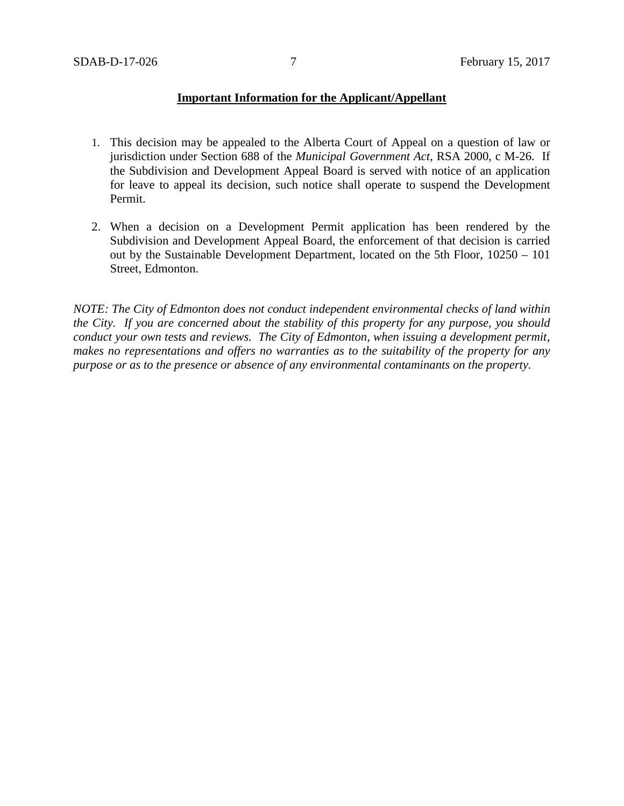## **Important Information for the Applicant/Appellant**

- 1. This decision may be appealed to the Alberta Court of Appeal on a question of law or jurisdiction under Section 688 of the *Municipal Government Act*, RSA 2000, c M-26. If the Subdivision and Development Appeal Board is served with notice of an application for leave to appeal its decision, such notice shall operate to suspend the Development Permit.
- 2. When a decision on a Development Permit application has been rendered by the Subdivision and Development Appeal Board, the enforcement of that decision is carried out by the Sustainable Development Department, located on the 5th Floor, 10250 – 101 Street, Edmonton.

*NOTE: The City of Edmonton does not conduct independent environmental checks of land within the City. If you are concerned about the stability of this property for any purpose, you should conduct your own tests and reviews. The City of Edmonton, when issuing a development permit, makes no representations and offers no warranties as to the suitability of the property for any purpose or as to the presence or absence of any environmental contaminants on the property.*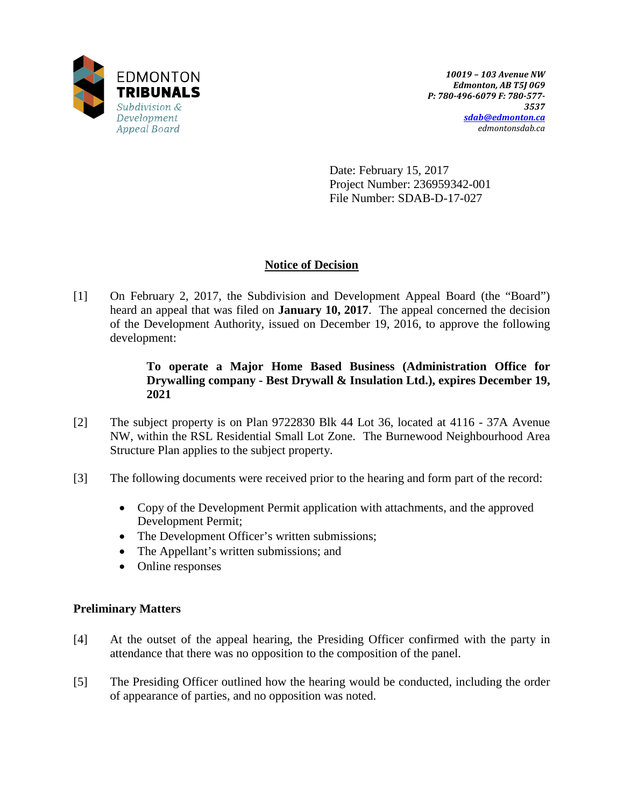

Date: February 15, 2017 Project Number: 236959342-001 File Number: SDAB-D-17-027

# **Notice of Decision**

[1] On February 2, 2017, the Subdivision and Development Appeal Board (the "Board") heard an appeal that was filed on **January 10, 2017**. The appeal concerned the decision of the Development Authority, issued on December 19, 2016, to approve the following development:

# **To operate a Major Home Based Business (Administration Office for Drywalling company - Best Drywall & Insulation Ltd.), expires December 19, 2021**

- [2] The subject property is on Plan 9722830 Blk 44 Lot 36, located at 4116 37A Avenue NW, within the RSL Residential Small Lot Zone. The Burnewood Neighbourhood Area Structure Plan applies to the subject property.
- [3] The following documents were received prior to the hearing and form part of the record:
	- Copy of the Development Permit application with attachments, and the approved Development Permit;
	- The Development Officer's written submissions;
	- The Appellant's written submissions; and
	- Online responses

# **Preliminary Matters**

- [4] At the outset of the appeal hearing, the Presiding Officer confirmed with the party in attendance that there was no opposition to the composition of the panel.
- [5] The Presiding Officer outlined how the hearing would be conducted, including the order of appearance of parties, and no opposition was noted.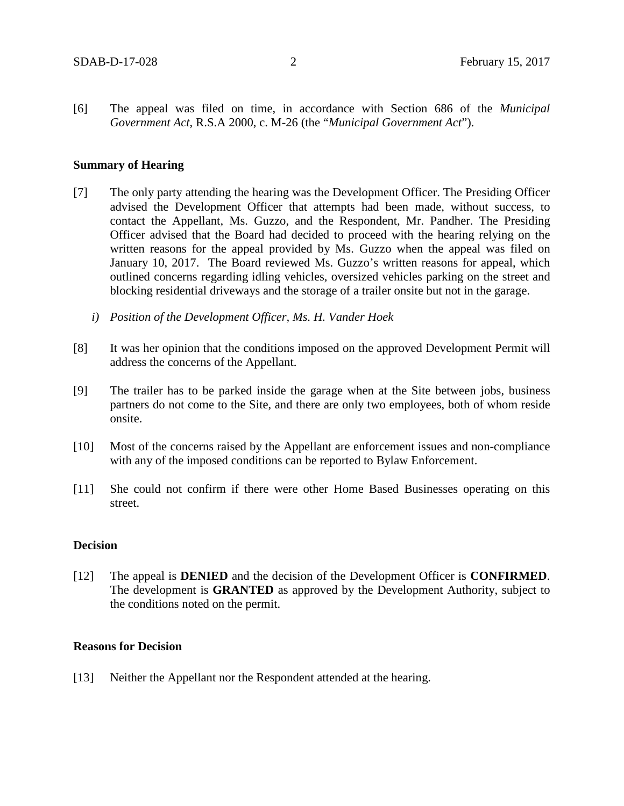[6] The appeal was filed on time, in accordance with Section 686 of the *Municipal Government Act*, R.S.A 2000, c. M-26 (the "*Municipal Government Act*").

### **Summary of Hearing**

- [7] The only party attending the hearing was the Development Officer. The Presiding Officer advised the Development Officer that attempts had been made, without success, to contact the Appellant, Ms. Guzzo, and the Respondent, Mr. Pandher. The Presiding Officer advised that the Board had decided to proceed with the hearing relying on the written reasons for the appeal provided by Ms. Guzzo when the appeal was filed on January 10, 2017. The Board reviewed Ms. Guzzo's written reasons for appeal, which outlined concerns regarding idling vehicles, oversized vehicles parking on the street and blocking residential driveways and the storage of a trailer onsite but not in the garage.
	- *i) Position of the Development Officer, Ms. H. Vander Hoek*
- [8] It was her opinion that the conditions imposed on the approved Development Permit will address the concerns of the Appellant.
- [9] The trailer has to be parked inside the garage when at the Site between jobs, business partners do not come to the Site, and there are only two employees, both of whom reside onsite.
- [10] Most of the concerns raised by the Appellant are enforcement issues and non-compliance with any of the imposed conditions can be reported to Bylaw Enforcement.
- [11] She could not confirm if there were other Home Based Businesses operating on this street.

#### **Decision**

[12] The appeal is **DENIED** and the decision of the Development Officer is **CONFIRMED**. The development is **GRANTED** as approved by the Development Authority, subject to the conditions noted on the permit.

## **Reasons for Decision**

[13] Neither the Appellant nor the Respondent attended at the hearing.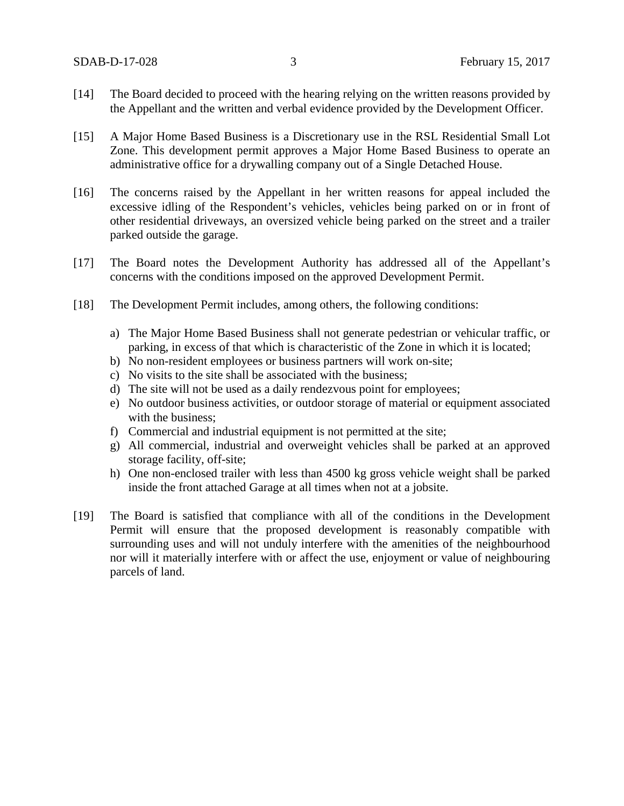- [14] The Board decided to proceed with the hearing relying on the written reasons provided by the Appellant and the written and verbal evidence provided by the Development Officer.
- [15] A Major Home Based Business is a Discretionary use in the RSL Residential Small Lot Zone. This development permit approves a Major Home Based Business to operate an administrative office for a drywalling company out of a Single Detached House.
- [16] The concerns raised by the Appellant in her written reasons for appeal included the excessive idling of the Respondent's vehicles, vehicles being parked on or in front of other residential driveways, an oversized vehicle being parked on the street and a trailer parked outside the garage.
- [17] The Board notes the Development Authority has addressed all of the Appellant's concerns with the conditions imposed on the approved Development Permit.
- [18] The Development Permit includes, among others, the following conditions:
	- a) The Major Home Based Business shall not generate pedestrian or vehicular traffic, or parking, in excess of that which is characteristic of the Zone in which it is located;
	- b) No non-resident employees or business partners will work on-site;
	- c) No visits to the site shall be associated with the business;
	- d) The site will not be used as a daily rendezvous point for employees;
	- e) No outdoor business activities, or outdoor storage of material or equipment associated with the business;
	- f) Commercial and industrial equipment is not permitted at the site;
	- g) All commercial, industrial and overweight vehicles shall be parked at an approved storage facility, off-site;
	- h) One non-enclosed trailer with less than 4500 kg gross vehicle weight shall be parked inside the front attached Garage at all times when not at a jobsite.
- [19] The Board is satisfied that compliance with all of the conditions in the Development Permit will ensure that the proposed development is reasonably compatible with surrounding uses and will not unduly interfere with the amenities of the neighbourhood nor will it materially interfere with or affect the use, enjoyment or value of neighbouring parcels of land.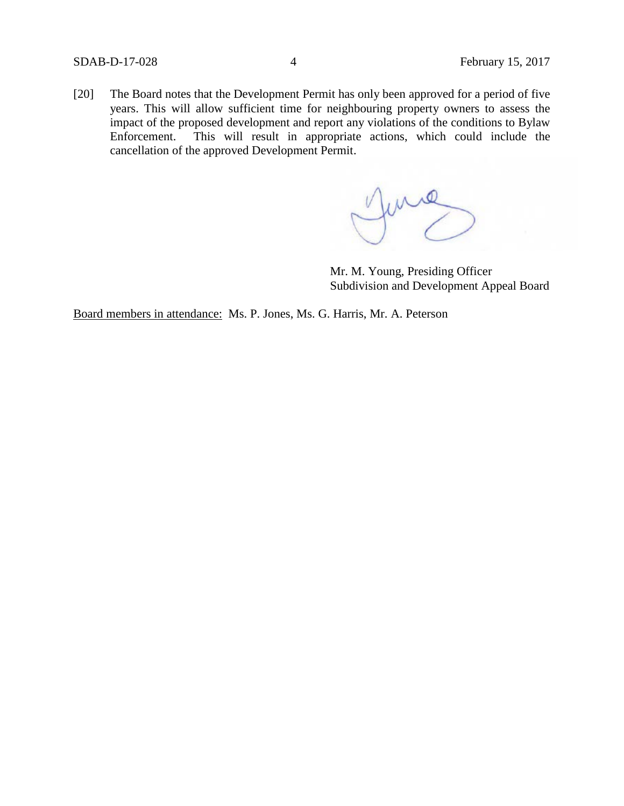[20] The Board notes that the Development Permit has only been approved for a period of five years. This will allow sufficient time for neighbouring property owners to assess the impact of the proposed development and report any violations of the conditions to Bylaw Enforcement. This will result in appropriate actions, which could include the cancellation of the approved Development Permit.

funce

Mr. M. Young, Presiding Officer Subdivision and Development Appeal Board

Board members in attendance: Ms. P. Jones, Ms. G. Harris, Mr. A. Peterson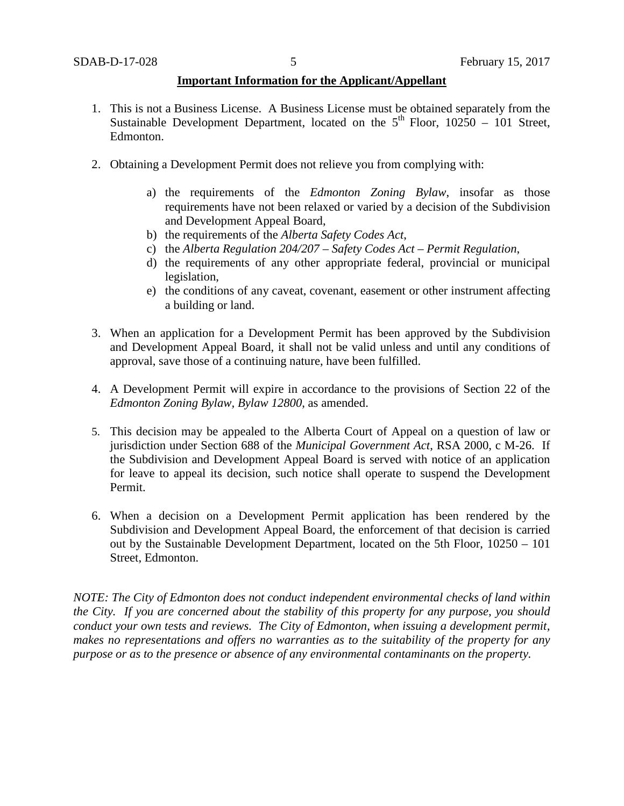## **Important Information for the Applicant/Appellant**

- 1. This is not a Business License. A Business License must be obtained separately from the Sustainable Development Department, located on the  $5<sup>th</sup>$  Floor, 10250 – 101 Street, Edmonton.
- 2. Obtaining a Development Permit does not relieve you from complying with:
	- a) the requirements of the *Edmonton Zoning Bylaw*, insofar as those requirements have not been relaxed or varied by a decision of the Subdivision and Development Appeal Board,
	- b) the requirements of the *Alberta Safety Codes Act*,
	- c) the *Alberta Regulation 204/207 – Safety Codes Act – Permit Regulation*,
	- d) the requirements of any other appropriate federal, provincial or municipal legislation,
	- e) the conditions of any caveat, covenant, easement or other instrument affecting a building or land.
- 3. When an application for a Development Permit has been approved by the Subdivision and Development Appeal Board, it shall not be valid unless and until any conditions of approval, save those of a continuing nature, have been fulfilled.
- 4. A Development Permit will expire in accordance to the provisions of Section 22 of the *Edmonton Zoning Bylaw, Bylaw 12800*, as amended.
- 5. This decision may be appealed to the Alberta Court of Appeal on a question of law or jurisdiction under Section 688 of the *Municipal Government Act*, RSA 2000, c M-26. If the Subdivision and Development Appeal Board is served with notice of an application for leave to appeal its decision, such notice shall operate to suspend the Development Permit.
- 6. When a decision on a Development Permit application has been rendered by the Subdivision and Development Appeal Board, the enforcement of that decision is carried out by the Sustainable Development Department, located on the 5th Floor, 10250 – 101 Street, Edmonton.

*NOTE: The City of Edmonton does not conduct independent environmental checks of land within the City. If you are concerned about the stability of this property for any purpose, you should conduct your own tests and reviews. The City of Edmonton, when issuing a development permit, makes no representations and offers no warranties as to the suitability of the property for any purpose or as to the presence or absence of any environmental contaminants on the property.*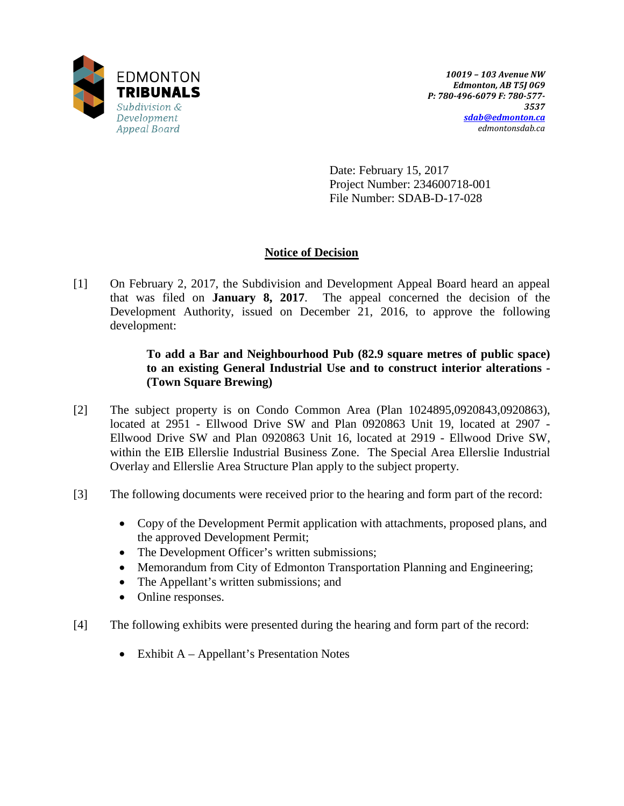

Date: February 15, 2017 Project Number: 234600718-001 File Number: SDAB-D-17-028

# **Notice of Decision**

[1] On February 2, 2017, the Subdivision and Development Appeal Board heard an appeal that was filed on **January 8, 2017**. The appeal concerned the decision of the Development Authority, issued on December 21, 2016, to approve the following development:

# **To add a Bar and Neighbourhood Pub (82.9 square metres of public space) to an existing General Industrial Use and to construct interior alterations - (Town Square Brewing)**

- [2] The subject property is on Condo Common Area (Plan 1024895,0920843,0920863), located at 2951 - Ellwood Drive SW and Plan 0920863 Unit 19, located at 2907 - Ellwood Drive SW and Plan 0920863 Unit 16, located at 2919 - Ellwood Drive SW, within the EIB Ellerslie Industrial Business Zone. The Special Area Ellerslie Industrial Overlay and Ellerslie Area Structure Plan apply to the subject property.
- [3] The following documents were received prior to the hearing and form part of the record:
	- Copy of the Development Permit application with attachments, proposed plans, and the approved Development Permit;
	- The Development Officer's written submissions;
	- Memorandum from City of Edmonton Transportation Planning and Engineering;
	- The Appellant's written submissions; and
	- Online responses.
- [4] The following exhibits were presented during the hearing and form part of the record:
	- Exhibit A Appellant's Presentation Notes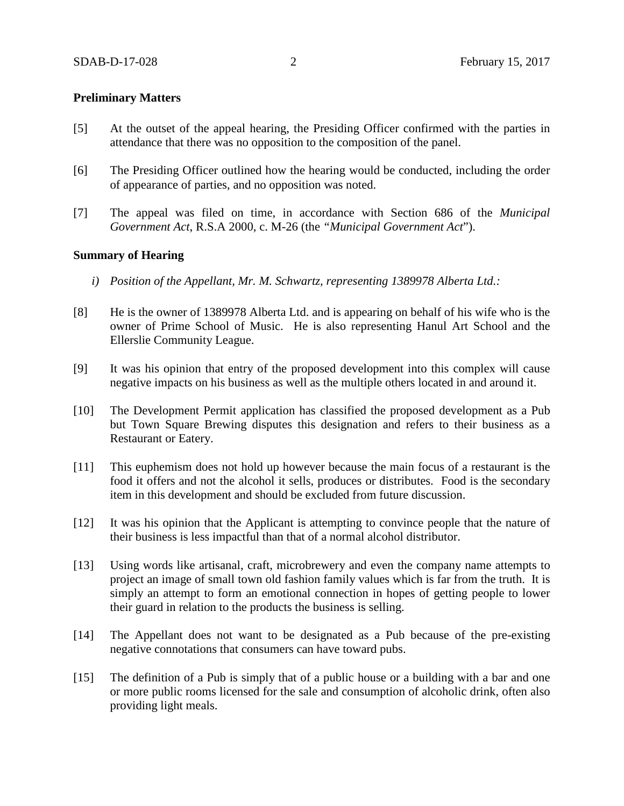#### **Preliminary Matters**

- [5] At the outset of the appeal hearing, the Presiding Officer confirmed with the parties in attendance that there was no opposition to the composition of the panel.
- [6] The Presiding Officer outlined how the hearing would be conducted, including the order of appearance of parties, and no opposition was noted.
- [7] The appeal was filed on time, in accordance with Section 686 of the *Municipal Government Act*, R.S.A 2000, c. M-26 (the *"Municipal Government Act*").

#### **Summary of Hearing**

- *i) Position of the Appellant, Mr. M. Schwartz, representing 1389978 Alberta Ltd.:*
- [8] He is the owner of 1389978 Alberta Ltd. and is appearing on behalf of his wife who is the owner of Prime School of Music. He is also representing Hanul Art School and the Ellerslie Community League.
- [9] It was his opinion that entry of the proposed development into this complex will cause negative impacts on his business as well as the multiple others located in and around it.
- [10] The Development Permit application has classified the proposed development as a Pub but Town Square Brewing disputes this designation and refers to their business as a Restaurant or Eatery.
- [11] This euphemism does not hold up however because the main focus of a restaurant is the food it offers and not the alcohol it sells, produces or distributes. Food is the secondary item in this development and should be excluded from future discussion.
- [12] It was his opinion that the Applicant is attempting to convince people that the nature of their business is less impactful than that of a normal alcohol distributor.
- [13] Using words like artisanal, craft, microbrewery and even the company name attempts to project an image of small town old fashion family values which is far from the truth. It is simply an attempt to form an emotional connection in hopes of getting people to lower their guard in relation to the products the business is selling.
- [14] The Appellant does not want to be designated as a Pub because of the pre-existing negative connotations that consumers can have toward pubs.
- [15] The definition of a Pub is simply that of a public house or a building with a bar and one or more public rooms licensed for the sale and consumption of alcoholic drink, often also providing light meals.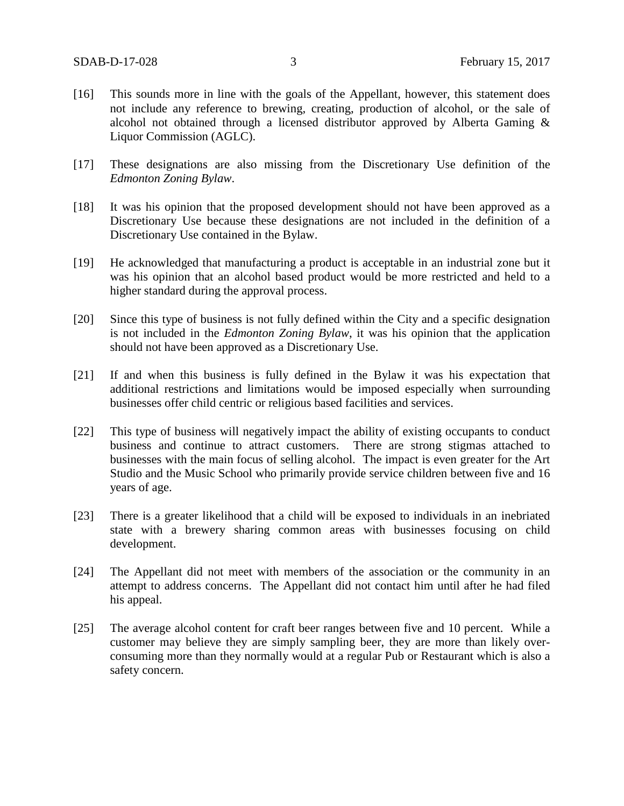- [16] This sounds more in line with the goals of the Appellant, however, this statement does not include any reference to brewing, creating, production of alcohol, or the sale of alcohol not obtained through a licensed distributor approved by Alberta Gaming & Liquor Commission (AGLC).
- [17] These designations are also missing from the Discretionary Use definition of the *Edmonton Zoning Bylaw*.
- [18] It was his opinion that the proposed development should not have been approved as a Discretionary Use because these designations are not included in the definition of a Discretionary Use contained in the Bylaw.
- [19] He acknowledged that manufacturing a product is acceptable in an industrial zone but it was his opinion that an alcohol based product would be more restricted and held to a higher standard during the approval process.
- [20] Since this type of business is not fully defined within the City and a specific designation is not included in the *Edmonton Zoning Bylaw*, it was his opinion that the application should not have been approved as a Discretionary Use.
- [21] If and when this business is fully defined in the Bylaw it was his expectation that additional restrictions and limitations would be imposed especially when surrounding businesses offer child centric or religious based facilities and services.
- [22] This type of business will negatively impact the ability of existing occupants to conduct business and continue to attract customers. There are strong stigmas attached to businesses with the main focus of selling alcohol. The impact is even greater for the Art Studio and the Music School who primarily provide service children between five and 16 years of age.
- [23] There is a greater likelihood that a child will be exposed to individuals in an inebriated state with a brewery sharing common areas with businesses focusing on child development.
- [24] The Appellant did not meet with members of the association or the community in an attempt to address concerns. The Appellant did not contact him until after he had filed his appeal.
- [25] The average alcohol content for craft beer ranges between five and 10 percent. While a customer may believe they are simply sampling beer, they are more than likely overconsuming more than they normally would at a regular Pub or Restaurant which is also a safety concern.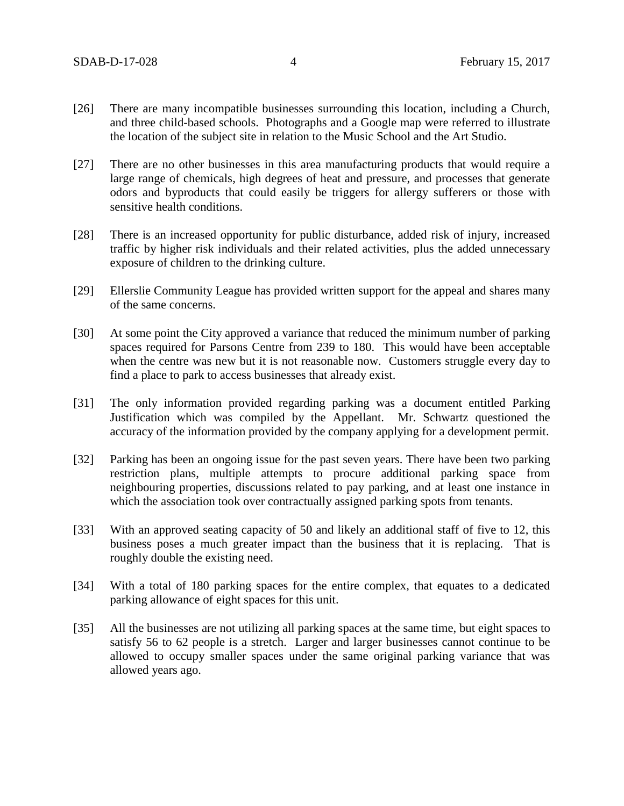- [26] There are many incompatible businesses surrounding this location, including a Church, and three child-based schools. Photographs and a Google map were referred to illustrate the location of the subject site in relation to the Music School and the Art Studio.
- [27] There are no other businesses in this area manufacturing products that would require a large range of chemicals, high degrees of heat and pressure, and processes that generate odors and byproducts that could easily be triggers for allergy sufferers or those with sensitive health conditions.
- [28] There is an increased opportunity for public disturbance, added risk of injury, increased traffic by higher risk individuals and their related activities, plus the added unnecessary exposure of children to the drinking culture.
- [29] Ellerslie Community League has provided written support for the appeal and shares many of the same concerns.
- [30] At some point the City approved a variance that reduced the minimum number of parking spaces required for Parsons Centre from 239 to 180. This would have been acceptable when the centre was new but it is not reasonable now. Customers struggle every day to find a place to park to access businesses that already exist.
- [31] The only information provided regarding parking was a document entitled Parking Justification which was compiled by the Appellant. Mr. Schwartz questioned the accuracy of the information provided by the company applying for a development permit.
- [32] Parking has been an ongoing issue for the past seven years. There have been two parking restriction plans, multiple attempts to procure additional parking space from neighbouring properties, discussions related to pay parking, and at least one instance in which the association took over contractually assigned parking spots from tenants.
- [33] With an approved seating capacity of 50 and likely an additional staff of five to 12, this business poses a much greater impact than the business that it is replacing. That is roughly double the existing need.
- [34] With a total of 180 parking spaces for the entire complex, that equates to a dedicated parking allowance of eight spaces for this unit.
- [35] All the businesses are not utilizing all parking spaces at the same time, but eight spaces to satisfy 56 to 62 people is a stretch. Larger and larger businesses cannot continue to be allowed to occupy smaller spaces under the same original parking variance that was allowed years ago.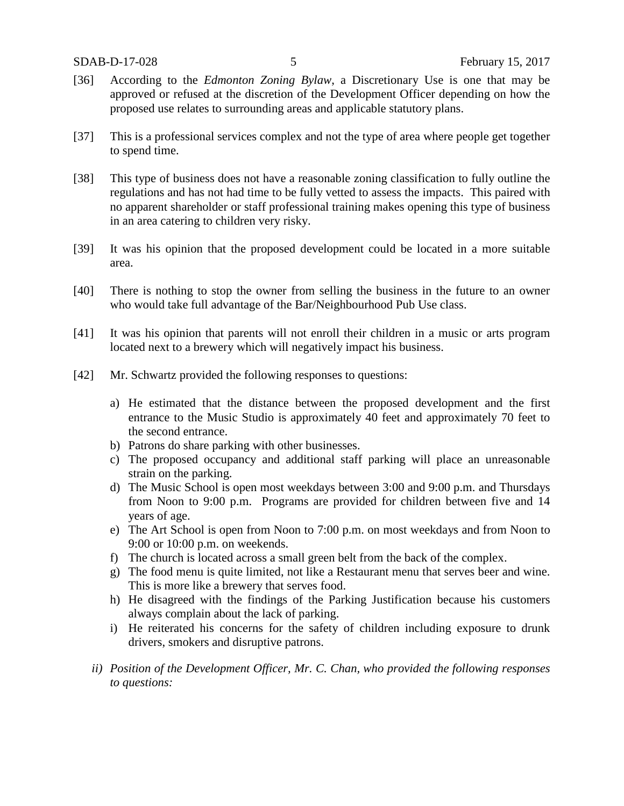- [36] According to the *Edmonton Zoning Bylaw*, a Discretionary Use is one that may be approved or refused at the discretion of the Development Officer depending on how the proposed use relates to surrounding areas and applicable statutory plans.
- [37] This is a professional services complex and not the type of area where people get together to spend time.
- [38] This type of business does not have a reasonable zoning classification to fully outline the regulations and has not had time to be fully vetted to assess the impacts. This paired with no apparent shareholder or staff professional training makes opening this type of business in an area catering to children very risky.
- [39] It was his opinion that the proposed development could be located in a more suitable area.
- [40] There is nothing to stop the owner from selling the business in the future to an owner who would take full advantage of the Bar/Neighbourhood Pub Use class.
- [41] It was his opinion that parents will not enroll their children in a music or arts program located next to a brewery which will negatively impact his business.
- [42] Mr. Schwartz provided the following responses to questions:
	- a) He estimated that the distance between the proposed development and the first entrance to the Music Studio is approximately 40 feet and approximately 70 feet to the second entrance.
	- b) Patrons do share parking with other businesses.
	- c) The proposed occupancy and additional staff parking will place an unreasonable strain on the parking.
	- d) The Music School is open most weekdays between 3:00 and 9:00 p.m. and Thursdays from Noon to 9:00 p.m. Programs are provided for children between five and 14 years of age.
	- e) The Art School is open from Noon to 7:00 p.m. on most weekdays and from Noon to 9:00 or 10:00 p.m. on weekends.
	- f) The church is located across a small green belt from the back of the complex.
	- g) The food menu is quite limited, not like a Restaurant menu that serves beer and wine. This is more like a brewery that serves food.
	- h) He disagreed with the findings of the Parking Justification because his customers always complain about the lack of parking.
	- i) He reiterated his concerns for the safety of children including exposure to drunk drivers, smokers and disruptive patrons.
	- *ii) Position of the Development Officer, Mr. C. Chan, who provided the following responses to questions:*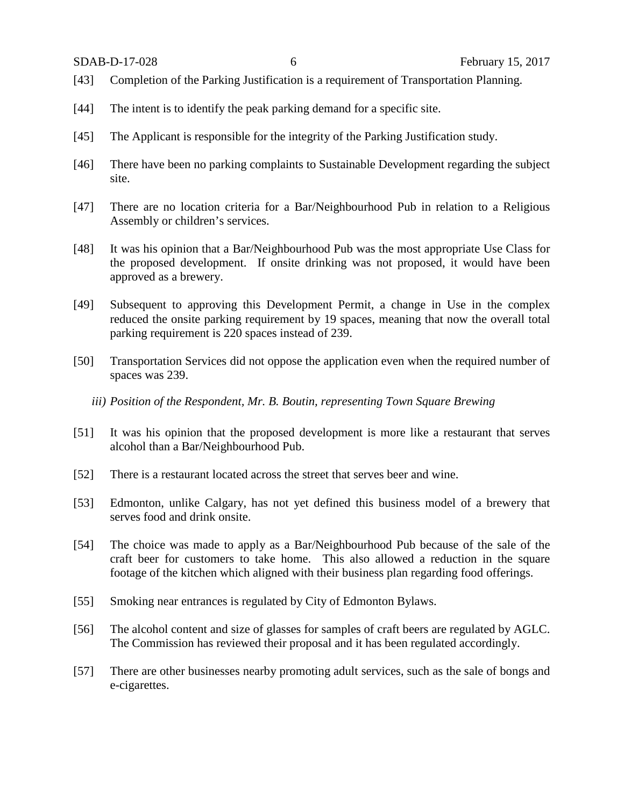- [43] Completion of the Parking Justification is a requirement of Transportation Planning.
- [44] The intent is to identify the peak parking demand for a specific site.
- [45] The Applicant is responsible for the integrity of the Parking Justification study.
- [46] There have been no parking complaints to Sustainable Development regarding the subject site.
- [47] There are no location criteria for a Bar/Neighbourhood Pub in relation to a Religious Assembly or children's services.
- [48] It was his opinion that a Bar/Neighbourhood Pub was the most appropriate Use Class for the proposed development. If onsite drinking was not proposed, it would have been approved as a brewery.
- [49] Subsequent to approving this Development Permit, a change in Use in the complex reduced the onsite parking requirement by 19 spaces, meaning that now the overall total parking requirement is 220 spaces instead of 239.
- [50] Transportation Services did not oppose the application even when the required number of spaces was 239.
	- *iii) Position of the Respondent, Mr. B. Boutin, representing Town Square Brewing*
- [51] It was his opinion that the proposed development is more like a restaurant that serves alcohol than a Bar/Neighbourhood Pub.
- [52] There is a restaurant located across the street that serves beer and wine.
- [53] Edmonton, unlike Calgary, has not yet defined this business model of a brewery that serves food and drink onsite.
- [54] The choice was made to apply as a Bar/Neighbourhood Pub because of the sale of the craft beer for customers to take home. This also allowed a reduction in the square footage of the kitchen which aligned with their business plan regarding food offerings.
- [55] Smoking near entrances is regulated by City of Edmonton Bylaws.
- [56] The alcohol content and size of glasses for samples of craft beers are regulated by AGLC. The Commission has reviewed their proposal and it has been regulated accordingly.
- [57] There are other businesses nearby promoting adult services, such as the sale of bongs and e-cigarettes.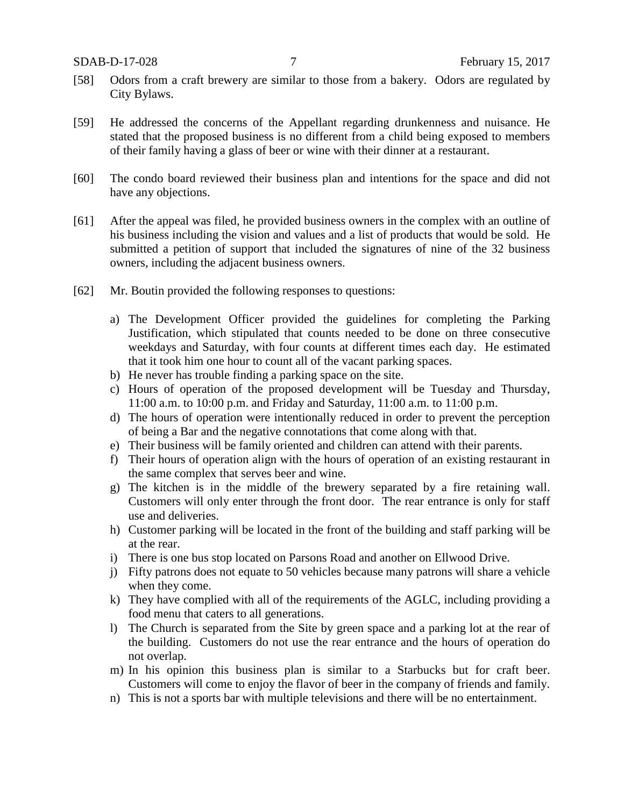- [58] Odors from a craft brewery are similar to those from a bakery. Odors are regulated by City Bylaws.
- [59] He addressed the concerns of the Appellant regarding drunkenness and nuisance. He stated that the proposed business is no different from a child being exposed to members of their family having a glass of beer or wine with their dinner at a restaurant.
- [60] The condo board reviewed their business plan and intentions for the space and did not have any objections.
- [61] After the appeal was filed, he provided business owners in the complex with an outline of his business including the vision and values and a list of products that would be sold. He submitted a petition of support that included the signatures of nine of the 32 business owners, including the adjacent business owners.
- [62] Mr. Boutin provided the following responses to questions:
	- a) The Development Officer provided the guidelines for completing the Parking Justification, which stipulated that counts needed to be done on three consecutive weekdays and Saturday, with four counts at different times each day. He estimated that it took him one hour to count all of the vacant parking spaces.
	- b) He never has trouble finding a parking space on the site.
	- c) Hours of operation of the proposed development will be Tuesday and Thursday, 11:00 a.m. to 10:00 p.m. and Friday and Saturday, 11:00 a.m. to 11:00 p.m.
	- d) The hours of operation were intentionally reduced in order to prevent the perception of being a Bar and the negative connotations that come along with that.
	- e) Their business will be family oriented and children can attend with their parents.
	- f) Their hours of operation align with the hours of operation of an existing restaurant in the same complex that serves beer and wine.
	- g) The kitchen is in the middle of the brewery separated by a fire retaining wall. Customers will only enter through the front door. The rear entrance is only for staff use and deliveries.
	- h) Customer parking will be located in the front of the building and staff parking will be at the rear.
	- i) There is one bus stop located on Parsons Road and another on Ellwood Drive.
	- j) Fifty patrons does not equate to 50 vehicles because many patrons will share a vehicle when they come.
	- k) They have complied with all of the requirements of the AGLC, including providing a food menu that caters to all generations.
	- l) The Church is separated from the Site by green space and a parking lot at the rear of the building. Customers do not use the rear entrance and the hours of operation do not overlap.
	- m) In his opinion this business plan is similar to a Starbucks but for craft beer. Customers will come to enjoy the flavor of beer in the company of friends and family.
	- n) This is not a sports bar with multiple televisions and there will be no entertainment.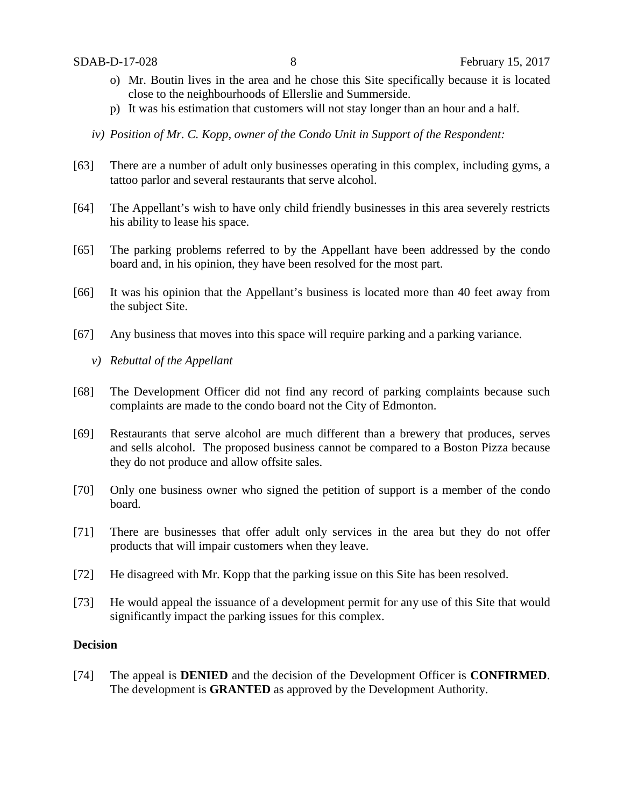- o) Mr. Boutin lives in the area and he chose this Site specifically because it is located close to the neighbourhoods of Ellerslie and Summerside.
- p) It was his estimation that customers will not stay longer than an hour and a half.
- *iv) Position of Mr. C. Kopp, owner of the Condo Unit in Support of the Respondent:*
- [63] There are a number of adult only businesses operating in this complex, including gyms, a tattoo parlor and several restaurants that serve alcohol.
- [64] The Appellant's wish to have only child friendly businesses in this area severely restricts his ability to lease his space.
- [65] The parking problems referred to by the Appellant have been addressed by the condo board and, in his opinion, they have been resolved for the most part.
- [66] It was his opinion that the Appellant's business is located more than 40 feet away from the subject Site.
- [67] Any business that moves into this space will require parking and a parking variance.
	- *v) Rebuttal of the Appellant*
- [68] The Development Officer did not find any record of parking complaints because such complaints are made to the condo board not the City of Edmonton.
- [69] Restaurants that serve alcohol are much different than a brewery that produces, serves and sells alcohol. The proposed business cannot be compared to a Boston Pizza because they do not produce and allow offsite sales.
- [70] Only one business owner who signed the petition of support is a member of the condo board.
- [71] There are businesses that offer adult only services in the area but they do not offer products that will impair customers when they leave.
- [72] He disagreed with Mr. Kopp that the parking issue on this Site has been resolved.
- [73] He would appeal the issuance of a development permit for any use of this Site that would significantly impact the parking issues for this complex.

## **Decision**

[74] The appeal is **DENIED** and the decision of the Development Officer is **CONFIRMED**. The development is **GRANTED** as approved by the Development Authority.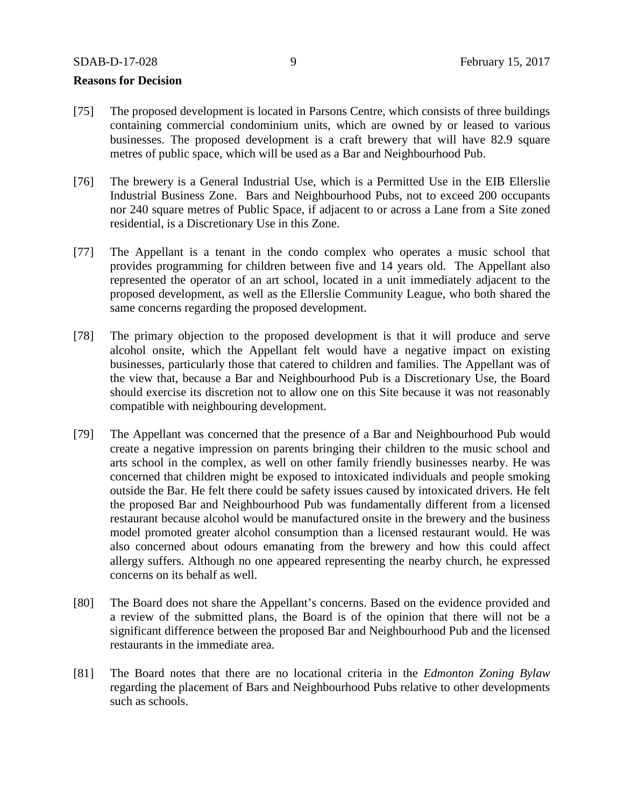#### **Reasons for Decision**

- [75] The proposed development is located in Parsons Centre, which consists of three buildings containing commercial condominium units, which are owned by or leased to various businesses. The proposed development is a craft brewery that will have 82.9 square metres of public space, which will be used as a Bar and Neighbourhood Pub.
- [76] The brewery is a General Industrial Use, which is a Permitted Use in the EIB Ellerslie Industrial Business Zone. Bars and Neighbourhood Pubs, not to exceed 200 occupants nor 240 square metres of Public Space, if adjacent to or across a Lane from a Site zoned residential, is a Discretionary Use in this Zone.
- [77] The Appellant is a tenant in the condo complex who operates a music school that provides programming for children between five and 14 years old. The Appellant also represented the operator of an art school, located in a unit immediately adjacent to the proposed development, as well as the Ellerslie Community League, who both shared the same concerns regarding the proposed development.
- [78] The primary objection to the proposed development is that it will produce and serve alcohol onsite, which the Appellant felt would have a negative impact on existing businesses, particularly those that catered to children and families. The Appellant was of the view that, because a Bar and Neighbourhood Pub is a Discretionary Use, the Board should exercise its discretion not to allow one on this Site because it was not reasonably compatible with neighbouring development.
- [79] The Appellant was concerned that the presence of a Bar and Neighbourhood Pub would create a negative impression on parents bringing their children to the music school and arts school in the complex, as well on other family friendly businesses nearby. He was concerned that children might be exposed to intoxicated individuals and people smoking outside the Bar. He felt there could be safety issues caused by intoxicated drivers. He felt the proposed Bar and Neighbourhood Pub was fundamentally different from a licensed restaurant because alcohol would be manufactured onsite in the brewery and the business model promoted greater alcohol consumption than a licensed restaurant would. He was also concerned about odours emanating from the brewery and how this could affect allergy suffers. Although no one appeared representing the nearby church, he expressed concerns on its behalf as well.
- [80] The Board does not share the Appellant's concerns. Based on the evidence provided and a review of the submitted plans, the Board is of the opinion that there will not be a significant difference between the proposed Bar and Neighbourhood Pub and the licensed restaurants in the immediate area.
- [81] The Board notes that there are no locational criteria in the *Edmonton Zoning Bylaw* regarding the placement of Bars and Neighbourhood Pubs relative to other developments such as schools.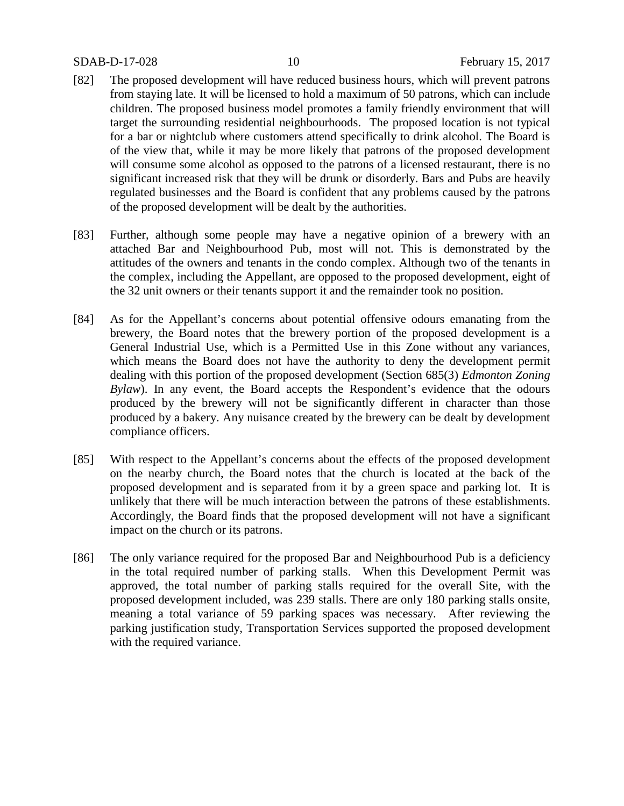- [82] The proposed development will have reduced business hours, which will prevent patrons from staying late. It will be licensed to hold a maximum of 50 patrons, which can include children. The proposed business model promotes a family friendly environment that will target the surrounding residential neighbourhoods. The proposed location is not typical for a bar or nightclub where customers attend specifically to drink alcohol. The Board is of the view that, while it may be more likely that patrons of the proposed development will consume some alcohol as opposed to the patrons of a licensed restaurant, there is no significant increased risk that they will be drunk or disorderly. Bars and Pubs are heavily regulated businesses and the Board is confident that any problems caused by the patrons of the proposed development will be dealt by the authorities.
- [83] Further, although some people may have a negative opinion of a brewery with an attached Bar and Neighbourhood Pub, most will not. This is demonstrated by the attitudes of the owners and tenants in the condo complex. Although two of the tenants in the complex, including the Appellant, are opposed to the proposed development, eight of the 32 unit owners or their tenants support it and the remainder took no position.
- [84] As for the Appellant's concerns about potential offensive odours emanating from the brewery, the Board notes that the brewery portion of the proposed development is a General Industrial Use, which is a Permitted Use in this Zone without any variances, which means the Board does not have the authority to deny the development permit dealing with this portion of the proposed development (Section 685(3) *Edmonton Zoning Bylaw*). In any event, the Board accepts the Respondent's evidence that the odours produced by the brewery will not be significantly different in character than those produced by a bakery. Any nuisance created by the brewery can be dealt by development compliance officers.
- [85] With respect to the Appellant's concerns about the effects of the proposed development on the nearby church, the Board notes that the church is located at the back of the proposed development and is separated from it by a green space and parking lot. It is unlikely that there will be much interaction between the patrons of these establishments. Accordingly, the Board finds that the proposed development will not have a significant impact on the church or its patrons.
- [86] The only variance required for the proposed Bar and Neighbourhood Pub is a deficiency in the total required number of parking stalls. When this Development Permit was approved, the total number of parking stalls required for the overall Site, with the proposed development included, was 239 stalls. There are only 180 parking stalls onsite, meaning a total variance of 59 parking spaces was necessary. After reviewing the parking justification study, Transportation Services supported the proposed development with the required variance.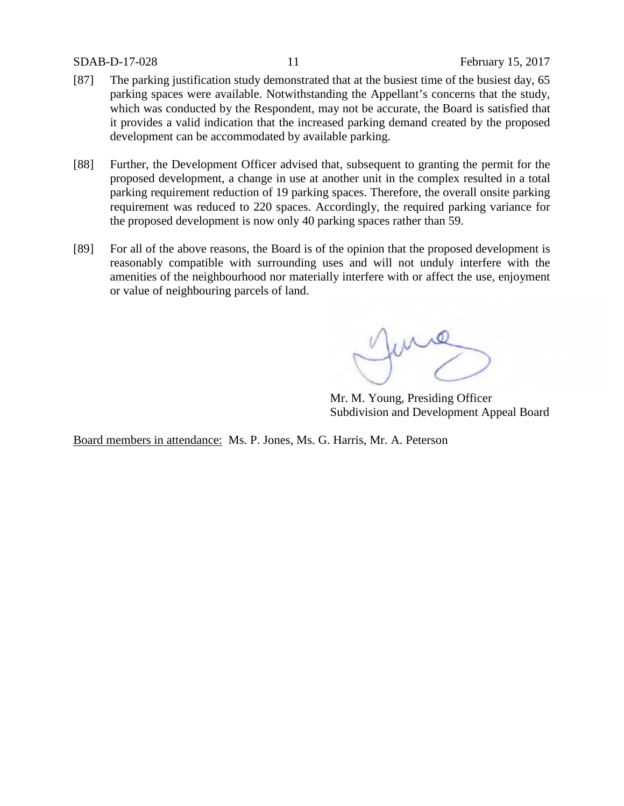- [87] The parking justification study demonstrated that at the busiest time of the busiest day, 65 parking spaces were available. Notwithstanding the Appellant's concerns that the study, which was conducted by the Respondent, may not be accurate, the Board is satisfied that it provides a valid indication that the increased parking demand created by the proposed development can be accommodated by available parking.
- [88] Further, the Development Officer advised that, subsequent to granting the permit for the proposed development, a change in use at another unit in the complex resulted in a total parking requirement reduction of 19 parking spaces. Therefore, the overall onsite parking requirement was reduced to 220 spaces. Accordingly, the required parking variance for the proposed development is now only 40 parking spaces rather than 59.
- [89] For all of the above reasons, the Board is of the opinion that the proposed development is reasonably compatible with surrounding uses and will not unduly interfere with the amenities of the neighbourhood nor materially interfere with or affect the use, enjoyment or value of neighbouring parcels of land.

fund

Mr. M. Young, Presiding Officer Subdivision and Development Appeal Board

Board members in attendance: Ms. P. Jones, Ms. G. Harris, Mr. A. Peterson